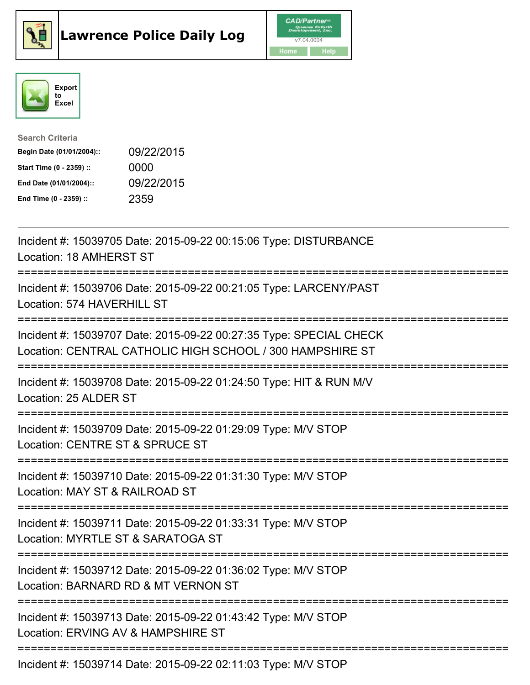





| <b>Search Criteria</b>    |            |
|---------------------------|------------|
| Begin Date (01/01/2004):: | 09/22/2015 |
| Start Time (0 - 2359) ::  | 0000       |
| End Date (01/01/2004)::   | 09/22/2015 |
| End Time (0 - 2359) ::    | 2359       |

| Incident #: 15039705 Date: 2015-09-22 00:15:06 Type: DISTURBANCE<br>Location: 18 AMHERST ST                                                                               |
|---------------------------------------------------------------------------------------------------------------------------------------------------------------------------|
| Incident #: 15039706 Date: 2015-09-22 00:21:05 Type: LARCENY/PAST<br>Location: 574 HAVERHILL ST                                                                           |
| Incident #: 15039707 Date: 2015-09-22 00:27:35 Type: SPECIAL CHECK<br>Location: CENTRAL CATHOLIC HIGH SCHOOL / 300 HAMPSHIRE ST<br>:===================================== |
| Incident #: 15039708 Date: 2015-09-22 01:24:50 Type: HIT & RUN M/V<br>Location: 25 ALDER ST                                                                               |
| Incident #: 15039709 Date: 2015-09-22 01:29:09 Type: M/V STOP<br>Location: CENTRE ST & SPRUCE ST                                                                          |
| Incident #: 15039710 Date: 2015-09-22 01:31:30 Type: M/V STOP<br>Location: MAY ST & RAILROAD ST                                                                           |
| Incident #: 15039711 Date: 2015-09-22 01:33:31 Type: M/V STOP<br>Location: MYRTLE ST & SARATOGA ST                                                                        |
| Incident #: 15039712 Date: 2015-09-22 01:36:02 Type: M/V STOP<br>Location: BARNARD RD & MT VERNON ST                                                                      |
| Incident #: 15039713 Date: 2015-09-22 01:43:42 Type: M/V STOP<br>Location: ERVING AV & HAMPSHIRE ST                                                                       |
| $Incidant H. 1E020714 \text{ Data: } 201E.00.22.02.14.02$ Tupe: $MNI$ CTOD                                                                                                |

Incident #: 15039714 Date: 2015-09-22 02:11:03 Type: M/V STOP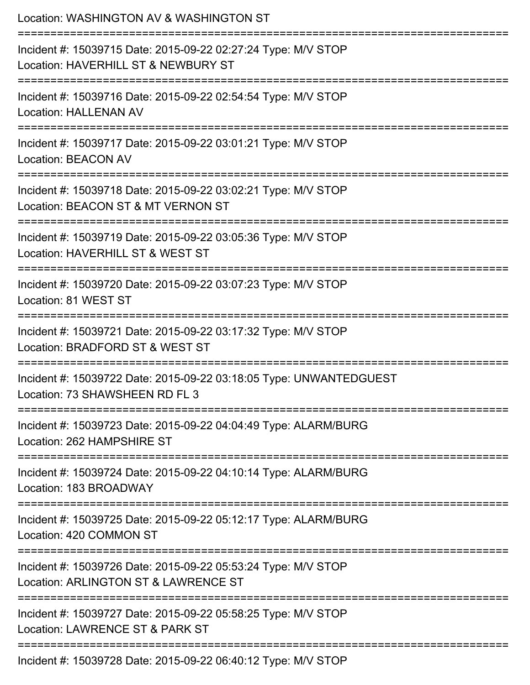| Location: WASHINGTON AV & WASHINGTON ST                                                                                       |
|-------------------------------------------------------------------------------------------------------------------------------|
| Incident #: 15039715 Date: 2015-09-22 02:27:24 Type: M/V STOP<br>Location: HAVERHILL ST & NEWBURY ST<br>:==================== |
| Incident #: 15039716 Date: 2015-09-22 02:54:54 Type: M/V STOP<br><b>Location: HALLENAN AV</b>                                 |
| Incident #: 15039717 Date: 2015-09-22 03:01:21 Type: M/V STOP<br><b>Location: BEACON AV</b>                                   |
| Incident #: 15039718 Date: 2015-09-22 03:02:21 Type: M/V STOP<br>Location: BEACON ST & MT VERNON ST                           |
| Incident #: 15039719 Date: 2015-09-22 03:05:36 Type: M/V STOP<br>Location: HAVERHILL ST & WEST ST                             |
| Incident #: 15039720 Date: 2015-09-22 03:07:23 Type: M/V STOP<br>Location: 81 WEST ST<br>--------------------                 |
| Incident #: 15039721 Date: 2015-09-22 03:17:32 Type: M/V STOP<br>Location: BRADFORD ST & WEST ST                              |
| Incident #: 15039722 Date: 2015-09-22 03:18:05 Type: UNWANTEDGUEST<br>Location: 73 SHAWSHEEN RD FL 3                          |
| Incident #: 15039723 Date: 2015-09-22 04:04:49 Type: ALARM/BURG<br>Location: 262 HAMPSHIRE ST                                 |
| Incident #: 15039724 Date: 2015-09-22 04:10:14 Type: ALARM/BURG<br>Location: 183 BROADWAY                                     |
| Incident #: 15039725 Date: 2015-09-22 05:12:17 Type: ALARM/BURG<br>Location: 420 COMMON ST                                    |
| Incident #: 15039726 Date: 2015-09-22 05:53:24 Type: M/V STOP<br>Location: ARLINGTON ST & LAWRENCE ST                         |
| Incident #: 15039727 Date: 2015-09-22 05:58:25 Type: M/V STOP<br>Location: LAWRENCE ST & PARK ST                              |
| Incident #: 15039728 Date: 2015-09-22 06:40:12 Type: M/V STOP                                                                 |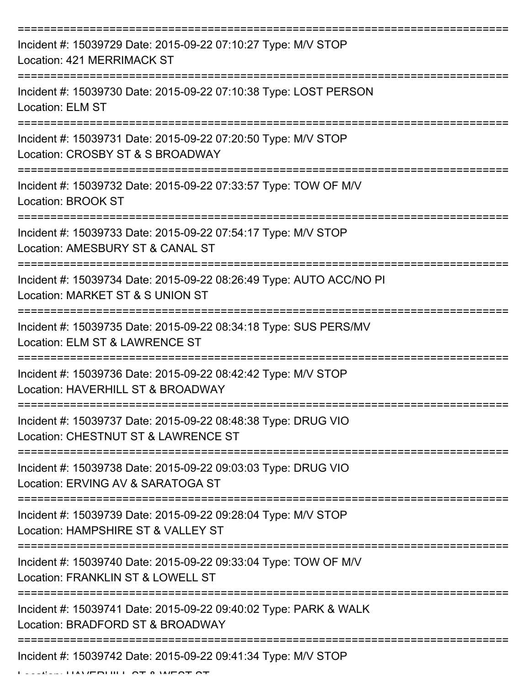| Incident #: 15039729 Date: 2015-09-22 07:10:27 Type: M/V STOP<br>Location: 421 MERRIMACK ST             |
|---------------------------------------------------------------------------------------------------------|
| Incident #: 15039730 Date: 2015-09-22 07:10:38 Type: LOST PERSON<br><b>Location: ELM ST</b>             |
| Incident #: 15039731 Date: 2015-09-22 07:20:50 Type: M/V STOP<br>Location: CROSBY ST & S BROADWAY       |
| Incident #: 15039732 Date: 2015-09-22 07:33:57 Type: TOW OF M/V<br>Location: BROOK ST                   |
| Incident #: 15039733 Date: 2015-09-22 07:54:17 Type: M/V STOP<br>Location: AMESBURY ST & CANAL ST       |
| Incident #: 15039734 Date: 2015-09-22 08:26:49 Type: AUTO ACC/NO PI<br>Location: MARKET ST & S UNION ST |
| Incident #: 15039735 Date: 2015-09-22 08:34:18 Type: SUS PERS/MV<br>Location: ELM ST & LAWRENCE ST      |
| Incident #: 15039736 Date: 2015-09-22 08:42:42 Type: M/V STOP<br>Location: HAVERHILL ST & BROADWAY      |
| Incident #: 15039737 Date: 2015-09-22 08:48:38 Type: DRUG VIO<br>Location: CHESTNUT ST & LAWRENCE ST    |
| Incident #: 15039738 Date: 2015-09-22 09:03:03 Type: DRUG VIO<br>Location: ERVING AV & SARATOGA ST      |
| Incident #: 15039739 Date: 2015-09-22 09:28:04 Type: M/V STOP<br>Location: HAMPSHIRE ST & VALLEY ST     |
| Incident #: 15039740 Date: 2015-09-22 09:33:04 Type: TOW OF M/V<br>Location: FRANKLIN ST & LOWELL ST    |
| Incident #: 15039741 Date: 2015-09-22 09:40:02 Type: PARK & WALK<br>Location: BRADFORD ST & BROADWAY    |
| Incident #: 15039742 Date: 2015-09-22 09:41:34 Type: M/V STOP                                           |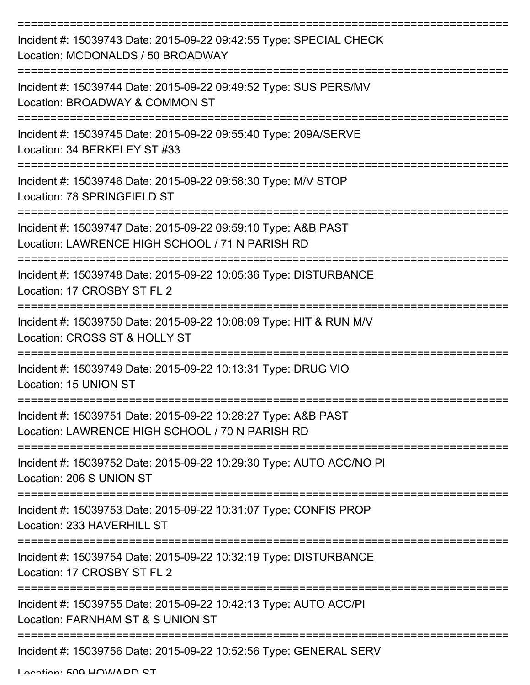| Incident #: 15039743 Date: 2015-09-22 09:42:55 Type: SPECIAL CHECK<br>Location: MCDONALDS / 50 BROADWAY          |
|------------------------------------------------------------------------------------------------------------------|
| Incident #: 15039744 Date: 2015-09-22 09:49:52 Type: SUS PERS/MV<br>Location: BROADWAY & COMMON ST               |
| Incident #: 15039745 Date: 2015-09-22 09:55:40 Type: 209A/SERVE<br>Location: 34 BERKELEY ST #33                  |
| Incident #: 15039746 Date: 2015-09-22 09:58:30 Type: M/V STOP<br>Location: 78 SPRINGFIELD ST                     |
| Incident #: 15039747 Date: 2015-09-22 09:59:10 Type: A&B PAST<br>Location: LAWRENCE HIGH SCHOOL / 71 N PARISH RD |
| Incident #: 15039748 Date: 2015-09-22 10:05:36 Type: DISTURBANCE<br>Location: 17 CROSBY ST FL 2                  |
| Incident #: 15039750 Date: 2015-09-22 10:08:09 Type: HIT & RUN M/V<br>Location: CROSS ST & HOLLY ST              |
| Incident #: 15039749 Date: 2015-09-22 10:13:31 Type: DRUG VIO<br>Location: 15 UNION ST                           |
| Incident #: 15039751 Date: 2015-09-22 10:28:27 Type: A&B PAST<br>Location: LAWRENCE HIGH SCHOOL / 70 N PARISH RD |
| Incident #: 15039752 Date: 2015-09-22 10:29:30 Type: AUTO ACC/NO PI<br>Location: 206 S UNION ST                  |
| Incident #: 15039753 Date: 2015-09-22 10:31:07 Type: CONFIS PROP<br>Location: 233 HAVERHILL ST                   |
| Incident #: 15039754 Date: 2015-09-22 10:32:19 Type: DISTURBANCE<br>Location: 17 CROSBY ST FL 2                  |
| Incident #: 15039755 Date: 2015-09-22 10:42:13 Type: AUTO ACC/PI<br>Location: FARNHAM ST & S UNION ST            |
| Incident #: 15039756 Date: 2015-09-22 10:52:56 Type: GENERAL SERV                                                |

Location: 500 HOWADD ST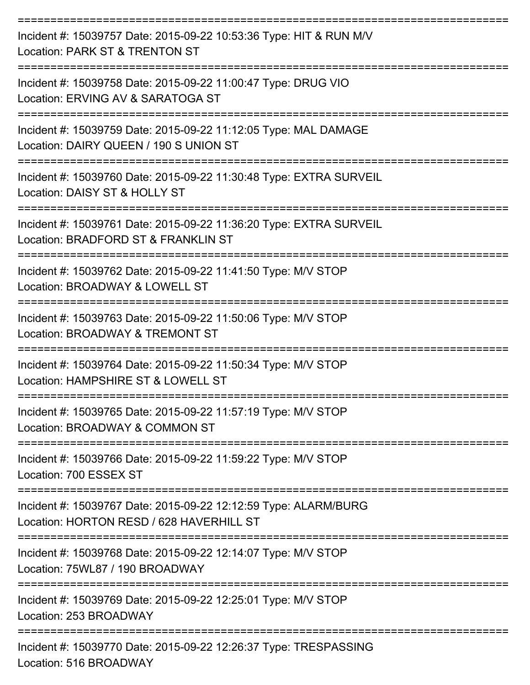| Incident #: 15039757 Date: 2015-09-22 10:53:36 Type: HIT & RUN M/V<br>Location: PARK ST & TRENTON ST                             |
|----------------------------------------------------------------------------------------------------------------------------------|
| Incident #: 15039758 Date: 2015-09-22 11:00:47 Type: DRUG VIO<br>Location: ERVING AV & SARATOGA ST                               |
| Incident #: 15039759 Date: 2015-09-22 11:12:05 Type: MAL DAMAGE<br>Location: DAIRY QUEEN / 190 S UNION ST                        |
| Incident #: 15039760 Date: 2015-09-22 11:30:48 Type: EXTRA SURVEIL<br>Location: DAISY ST & HOLLY ST                              |
| Incident #: 15039761 Date: 2015-09-22 11:36:20 Type: EXTRA SURVEIL<br>Location: BRADFORD ST & FRANKLIN ST                        |
| Incident #: 15039762 Date: 2015-09-22 11:41:50 Type: M/V STOP<br>Location: BROADWAY & LOWELL ST                                  |
| Incident #: 15039763 Date: 2015-09-22 11:50:06 Type: M/V STOP<br>Location: BROADWAY & TREMONT ST                                 |
| Incident #: 15039764 Date: 2015-09-22 11:50:34 Type: M/V STOP<br>Location: HAMPSHIRE ST & LOWELL ST                              |
| Incident #: 15039765 Date: 2015-09-22 11:57:19 Type: M/V STOP<br>Location: BROADWAY & COMMON ST                                  |
| Incident #: 15039766 Date: 2015-09-22 11:59:22 Type: M/V STOP<br>Location: 700 ESSEX ST                                          |
| -----------------<br>Incident #: 15039767 Date: 2015-09-22 12:12:59 Type: ALARM/BURG<br>Location: HORTON RESD / 628 HAVERHILL ST |
| Incident #: 15039768 Date: 2015-09-22 12:14:07 Type: M/V STOP<br>Location: 75WL87 / 190 BROADWAY                                 |
| Incident #: 15039769 Date: 2015-09-22 12:25:01 Type: M/V STOP<br>Location: 253 BROADWAY                                          |
| Incident #: 15039770 Date: 2015-09-22 12:26:37 Type: TRESPASSING<br>Location: 516 BROADWAY                                       |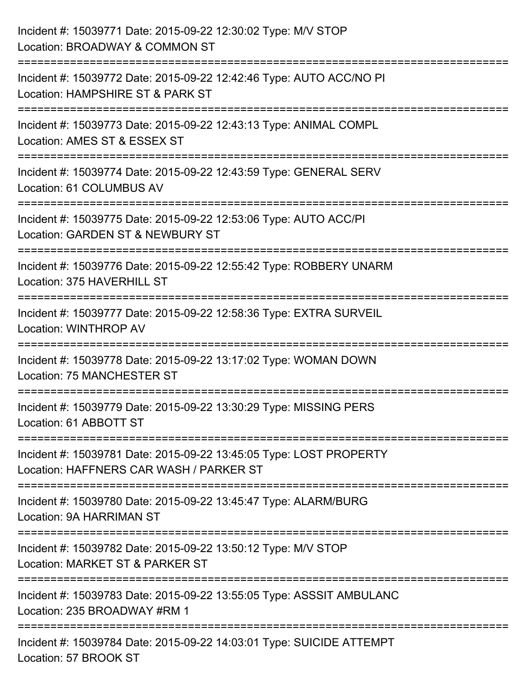| Incident #: 15039771 Date: 2015-09-22 12:30:02 Type: M/V STOP<br>Location: BROADWAY & COMMON ST                                             |
|---------------------------------------------------------------------------------------------------------------------------------------------|
| ================================<br>Incident #: 15039772 Date: 2015-09-22 12:42:46 Type: AUTO ACC/NO PI<br>Location: HAMPSHIRE ST & PARK ST |
| Incident #: 15039773 Date: 2015-09-22 12:43:13 Type: ANIMAL COMPL<br>Location: AMES ST & ESSEX ST<br>=================<br>================= |
| Incident #: 15039774 Date: 2015-09-22 12:43:59 Type: GENERAL SERV<br>Location: 61 COLUMBUS AV<br>-------------------------------------      |
| Incident #: 15039775 Date: 2015-09-22 12:53:06 Type: AUTO ACC/PI<br>Location: GARDEN ST & NEWBURY ST                                        |
| Incident #: 15039776 Date: 2015-09-22 12:55:42 Type: ROBBERY UNARM<br>Location: 375 HAVERHILL ST<br>:=====================================  |
| Incident #: 15039777 Date: 2015-09-22 12:58:36 Type: EXTRA SURVEIL<br>Location: WINTHROP AV                                                 |
| Incident #: 15039778 Date: 2015-09-22 13:17:02 Type: WOMAN DOWN<br><b>Location: 75 MANCHESTER ST</b>                                        |
| Incident #: 15039779 Date: 2015-09-22 13:30:29 Type: MISSING PERS<br>Location: 61 ABBOTT ST                                                 |
| Incident #: 15039781 Date: 2015-09-22 13:45:05 Type: LOST PROPERTY<br>Location: HAFFNERS CAR WASH / PARKER ST                               |
| Incident #: 15039780 Date: 2015-09-22 13:45:47 Type: ALARM/BURG<br><b>Location: 9A HARRIMAN ST</b>                                          |
| Incident #: 15039782 Date: 2015-09-22 13:50:12 Type: M/V STOP<br>Location: MARKET ST & PARKER ST                                            |
| Incident #: 15039783 Date: 2015-09-22 13:55:05 Type: ASSSIT AMBULANC<br>Location: 235 BROADWAY #RM 1                                        |
| Incident #: 15039784 Date: 2015-09-22 14:03:01 Type: SUICIDE ATTEMPT<br>Location: 57 BROOK ST                                               |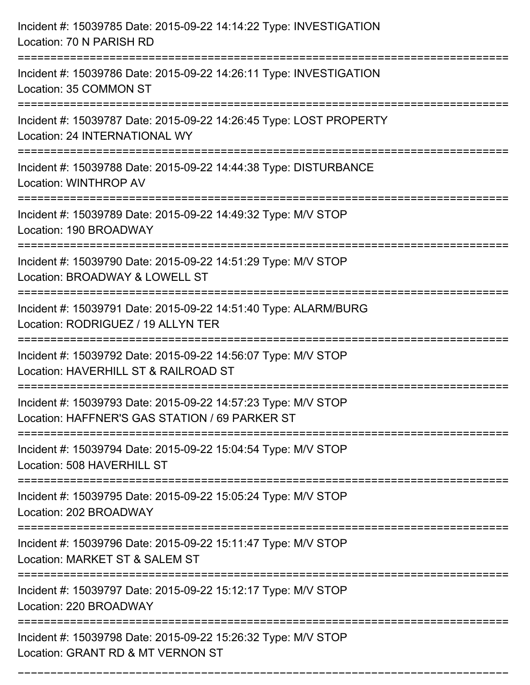| Incident #: 15039785 Date: 2015-09-22 14:14:22 Type: INVESTIGATION<br>Location: 70 N PARISH RD                                                       |
|------------------------------------------------------------------------------------------------------------------------------------------------------|
| Incident #: 15039786 Date: 2015-09-22 14:26:11 Type: INVESTIGATION<br>Location: 35 COMMON ST                                                         |
| Incident #: 15039787 Date: 2015-09-22 14:26:45 Type: LOST PROPERTY<br>Location: 24 INTERNATIONAL WY                                                  |
| Incident #: 15039788 Date: 2015-09-22 14:44:38 Type: DISTURBANCE<br>Location: WINTHROP AV                                                            |
| Incident #: 15039789 Date: 2015-09-22 14:49:32 Type: M/V STOP<br>Location: 190 BROADWAY<br>===============================<br>====================== |
| Incident #: 15039790 Date: 2015-09-22 14:51:29 Type: M/V STOP<br>Location: BROADWAY & LOWELL ST                                                      |
| Incident #: 15039791 Date: 2015-09-22 14:51:40 Type: ALARM/BURG<br>Location: RODRIGUEZ / 19 ALLYN TER                                                |
| Incident #: 15039792 Date: 2015-09-22 14:56:07 Type: M/V STOP<br>Location: HAVERHILL ST & RAILROAD ST                                                |
| Incident #: 15039793 Date: 2015-09-22 14:57:23 Type: M/V STOP<br>Location: HAFFNER'S GAS STATION / 69 PARKER ST<br>================================= |
| Incident #: 15039794 Date: 2015-09-22 15:04:54 Type: M/V STOP<br>Location: 508 HAVERHILL ST                                                          |
| Incident #: 15039795 Date: 2015-09-22 15:05:24 Type: M/V STOP<br>Location: 202 BROADWAY                                                              |
| Incident #: 15039796 Date: 2015-09-22 15:11:47 Type: M/V STOP<br>Location: MARKET ST & SALEM ST                                                      |
| Incident #: 15039797 Date: 2015-09-22 15:12:17 Type: M/V STOP<br>Location: 220 BROADWAY                                                              |
| Incident #: 15039798 Date: 2015-09-22 15:26:32 Type: M/V STOP<br>Location: GRANT RD & MT VERNON ST                                                   |

===========================================================================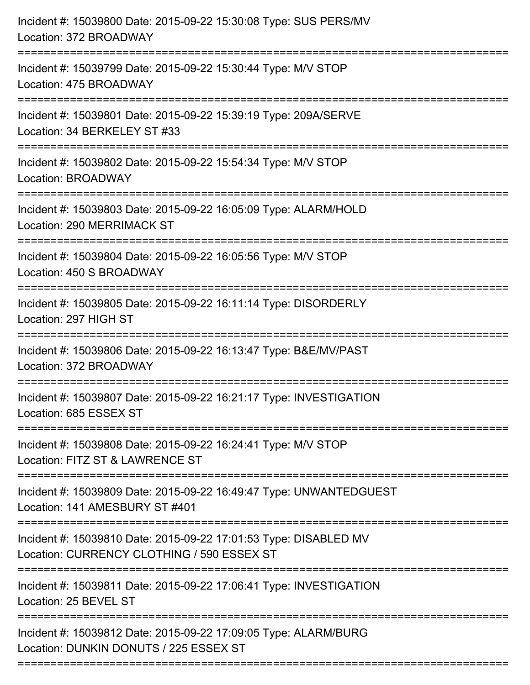| Incident #: 15039800 Date: 2015-09-22 15:30:08 Type: SUS PERS/MV<br>Location: 372 BROADWAY<br>-------------------------------      |
|------------------------------------------------------------------------------------------------------------------------------------|
| Incident #: 15039799 Date: 2015-09-22 15:30:44 Type: M/V STOP<br>Location: 475 BROADWAY                                            |
| Incident #: 15039801 Date: 2015-09-22 15:39:19 Type: 209A/SERVE<br>Location: 34 BERKELEY ST #33<br>=============================== |
| Incident #: 15039802 Date: 2015-09-22 15:54:34 Type: M/V STOP<br>Location: BROADWAY<br>------------------------------------        |
| Incident #: 15039803 Date: 2015-09-22 16:05:09 Type: ALARM/HOLD<br><b>Location: 290 MERRIMACK ST</b>                               |
| Incident #: 15039804 Date: 2015-09-22 16:05:56 Type: M/V STOP<br>Location: 450 S BROADWAY                                          |
| Incident #: 15039805 Date: 2015-09-22 16:11:14 Type: DISORDERLY<br>Location: 297 HIGH ST                                           |
| Incident #: 15039806 Date: 2015-09-22 16:13:47 Type: B&E/MV/PAST<br>Location: 372 BROADWAY                                         |
| Incident #: 15039807 Date: 2015-09-22 16:21:17 Type: INVESTIGATION<br>Location: 685 ESSEX ST                                       |
| Incident #: 15039808 Date: 2015-09-22 16:24:41 Type: M/V STOP<br>Location: FITZ ST & LAWRENCE ST                                   |
| Incident #: 15039809 Date: 2015-09-22 16:49:47 Type: UNWANTEDGUEST<br>Location: 141 AMESBURY ST #401                               |
| Incident #: 15039810 Date: 2015-09-22 17:01:53 Type: DISABLED MV<br>Location: CURRENCY CLOTHING / 590 ESSEX ST                     |
| Incident #: 15039811 Date: 2015-09-22 17:06:41 Type: INVESTIGATION<br>Location: 25 BEVEL ST                                        |
| Incident #: 15039812 Date: 2015-09-22 17:09:05 Type: ALARM/BURG<br>Location: DUNKIN DONUTS / 225 ESSEX ST                          |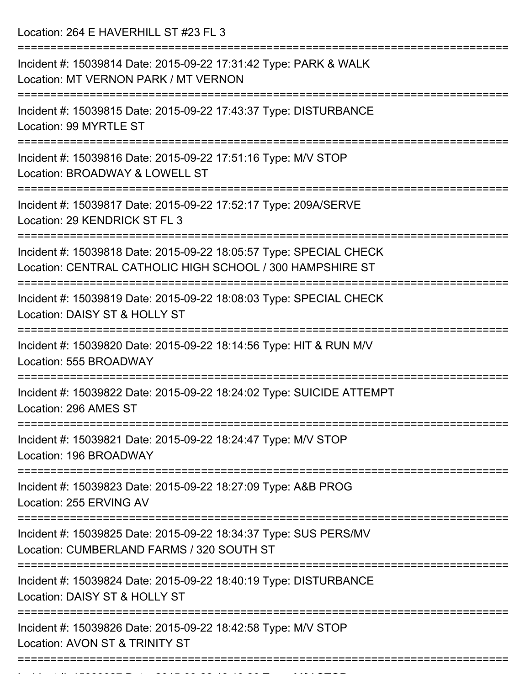Location: 264 E HAVERHILL ST #23 FL 3

| Incident #: 15039814 Date: 2015-09-22 17:31:42 Type: PARK & WALK<br>Location: MT VERNON PARK / MT VERNON                                                 |
|----------------------------------------------------------------------------------------------------------------------------------------------------------|
| Incident #: 15039815 Date: 2015-09-22 17:43:37 Type: DISTURBANCE<br>Location: 99 MYRTLE ST                                                               |
| Incident #: 15039816 Date: 2015-09-22 17:51:16 Type: M/V STOP<br>Location: BROADWAY & LOWELL ST                                                          |
| Incident #: 15039817 Date: 2015-09-22 17:52:17 Type: 209A/SERVE<br>Location: 29 KENDRICK ST FL 3                                                         |
| Incident #: 15039818 Date: 2015-09-22 18:05:57 Type: SPECIAL CHECK<br>Location: CENTRAL CATHOLIC HIGH SCHOOL / 300 HAMPSHIRE ST                          |
| ==========================<br>Incident #: 15039819 Date: 2015-09-22 18:08:03 Type: SPECIAL CHECK<br>Location: DAISY ST & HOLLY ST                        |
| Incident #: 15039820 Date: 2015-09-22 18:14:56 Type: HIT & RUN M/V<br>Location: 555 BROADWAY                                                             |
| Incident #: 15039822 Date: 2015-09-22 18:24:02 Type: SUICIDE ATTEMPT<br>Location: 296 AMES ST                                                            |
| Incident #: 15039821 Date: 2015-09-22 18:24:47 Type: M/V STOP<br>Location: 196 BROADWAY                                                                  |
| ==================================<br>======================<br>Incident #: 15039823 Date: 2015-09-22 18:27:09 Type: A&B PROG<br>Location: 255 ERVING AV |
| Incident #: 15039825 Date: 2015-09-22 18:34:37 Type: SUS PERS/MV<br>Location: CUMBERLAND FARMS / 320 SOUTH ST                                            |
| Incident #: 15039824 Date: 2015-09-22 18:40:19 Type: DISTURBANCE<br>Location: DAISY ST & HOLLY ST                                                        |
| Incident #: 15039826 Date: 2015-09-22 18:42:58 Type: M/V STOP<br>Location: AVON ST & TRINITY ST                                                          |
|                                                                                                                                                          |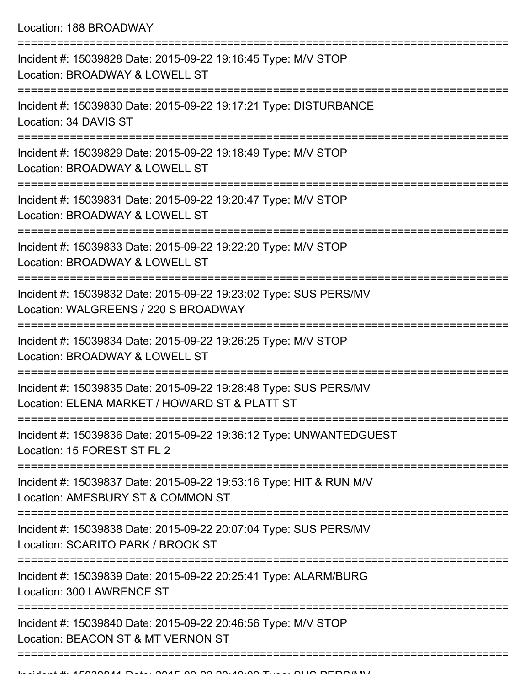| Incident #: 15039828 Date: 2015-09-22 19:16:45 Type: M/V STOP<br>Location: BROADWAY & LOWELL ST                   |
|-------------------------------------------------------------------------------------------------------------------|
| Incident #: 15039830 Date: 2015-09-22 19:17:21 Type: DISTURBANCE<br>Location: 34 DAVIS ST                         |
| Incident #: 15039829 Date: 2015-09-22 19:18:49 Type: M/V STOP<br>Location: BROADWAY & LOWELL ST                   |
| Incident #: 15039831 Date: 2015-09-22 19:20:47 Type: M/V STOP<br>Location: BROADWAY & LOWELL ST                   |
| Incident #: 15039833 Date: 2015-09-22 19:22:20 Type: M/V STOP<br>Location: BROADWAY & LOWELL ST                   |
| Incident #: 15039832 Date: 2015-09-22 19:23:02 Type: SUS PERS/MV<br>Location: WALGREENS / 220 S BROADWAY          |
| Incident #: 15039834 Date: 2015-09-22 19:26:25 Type: M/V STOP<br>Location: BROADWAY & LOWELL ST                   |
| Incident #: 15039835 Date: 2015-09-22 19:28:48 Type: SUS PERS/MV<br>Location: ELENA MARKET / HOWARD ST & PLATT ST |
| Incident #: 15039836 Date: 2015-09-22 19:36:12 Type: UNWANTEDGUEST<br>Location: 15 FOREST ST FL 2                 |
| Incident #: 15039837 Date: 2015-09-22 19:53:16 Type: HIT & RUN M/V<br>Location: AMESBURY ST & COMMON ST           |
| Incident #: 15039838 Date: 2015-09-22 20:07:04 Type: SUS PERS/MV<br>Location: SCARITO PARK / BROOK ST             |
| Incident #: 15039839 Date: 2015-09-22 20:25:41 Type: ALARM/BURG<br>Location: 300 LAWRENCE ST                      |
| Incident #: 15039840 Date: 2015-09-22 20:46:56 Type: M/V STOP<br>Location: BEACON ST & MT VERNON ST               |
|                                                                                                                   |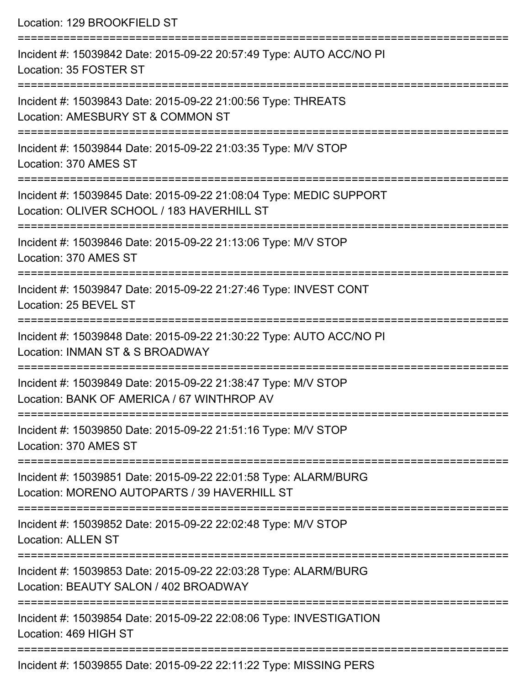| Location: 129 BROOKFIELD ST                                                                                                                                                                 |
|---------------------------------------------------------------------------------------------------------------------------------------------------------------------------------------------|
| Incident #: 15039842 Date: 2015-09-22 20:57:49 Type: AUTO ACC/NO PI<br>Location: 35 FOSTER ST<br>===================================                                                        |
| Incident #: 15039843 Date: 2015-09-22 21:00:56 Type: THREATS<br>Location: AMESBURY ST & COMMON ST                                                                                           |
| Incident #: 15039844 Date: 2015-09-22 21:03:35 Type: M/V STOP<br>Location: 370 AMES ST<br>==================================                                                                |
| Incident #: 15039845 Date: 2015-09-22 21:08:04 Type: MEDIC SUPPORT<br>Location: OLIVER SCHOOL / 183 HAVERHILL ST<br>================================<br>----------------------------------- |
| Incident #: 15039846 Date: 2015-09-22 21:13:06 Type: M/V STOP<br>Location: 370 AMES ST                                                                                                      |
| Incident #: 15039847 Date: 2015-09-22 21:27:46 Type: INVEST CONT<br>Location: 25 BEVEL ST                                                                                                   |
| Incident #: 15039848 Date: 2015-09-22 21:30:22 Type: AUTO ACC/NO PI<br>Location: INMAN ST & S BROADWAY                                                                                      |
| Incident #: 15039849 Date: 2015-09-22 21:38:47 Type: M/V STOP<br>Location: BANK OF AMERICA / 67 WINTHROP AV                                                                                 |
| Incident #: 15039850 Date: 2015-09-22 21:51:16 Type: M/V STOP<br>Location: 370 AMES ST                                                                                                      |
| Incident #: 15039851 Date: 2015-09-22 22:01:58 Type: ALARM/BURG<br>Location: MORENO AUTOPARTS / 39 HAVERHILL ST                                                                             |
| Incident #: 15039852 Date: 2015-09-22 22:02:48 Type: M/V STOP<br><b>Location: ALLEN ST</b>                                                                                                  |
| Incident #: 15039853 Date: 2015-09-22 22:03:28 Type: ALARM/BURG<br>Location: BEAUTY SALON / 402 BROADWAY                                                                                    |
| Incident #: 15039854 Date: 2015-09-22 22:08:06 Type: INVESTIGATION<br>Location: 469 HIGH ST                                                                                                 |
| Incident #: 15039855 Date: 2015-09-22 22:11:22 Type: MISSING PERS                                                                                                                           |